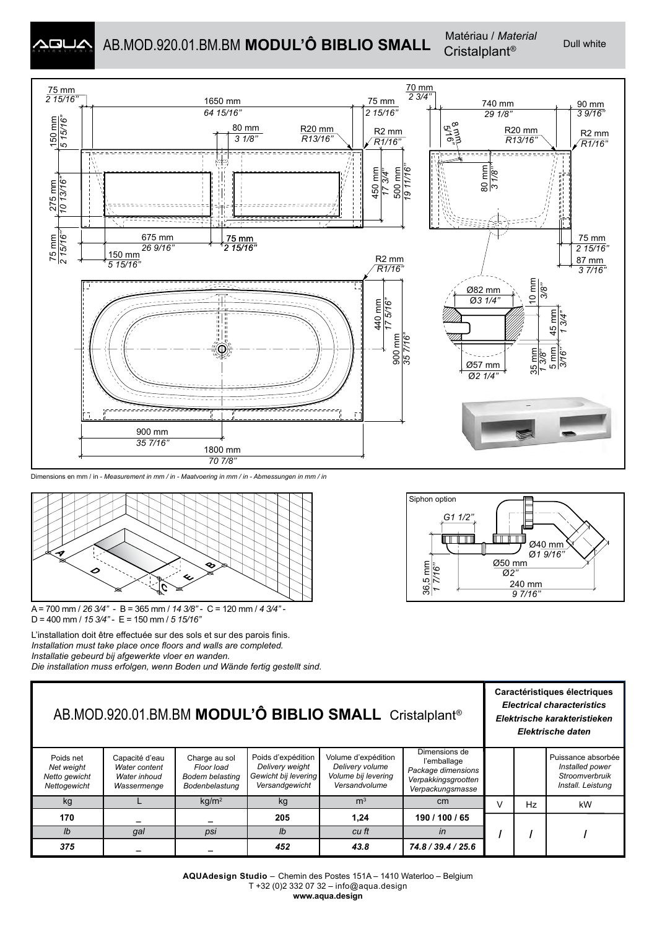

# AB.MOD.920.01.BM.BM **MODUL'Ô BIBLIO SMALL** Matériau / Material Dull white



#### Dimensions en mm / in - *Measurement in mm / in - Maatvoering in mm / in - Abmessungen in mm / in*



A = 700 mm / *26 3/4''* - B = 365 mm / *14 3/8''* - C = 120 mm / *4 3/4''* - D = 400 mm / *15 3/4''* - E = 150 mm / *5 15/16''*

L'installation doit être effectuée sur des sols et sur des parois finis. *Installation must take place once floors and walls are completed. Installatie gebeurd bij afgewerkte vloer en wanden. Die installation muss erfolgen, wenn Boden und Wände fertig gestellt sind.*



| AB.MOD.920.01.BM.BM MODUL'Ô BIBLIO SMALL Cristalplant®   |                                                                |                                                                  |                                                                                 |                                                                                |                                                                                               |        | Caractéristiques électriques<br><b>Electrical characteristics</b><br>Elektrische karakteristieken<br>Elektrische daten |                                                                              |  |
|----------------------------------------------------------|----------------------------------------------------------------|------------------------------------------------------------------|---------------------------------------------------------------------------------|--------------------------------------------------------------------------------|-----------------------------------------------------------------------------------------------|--------|------------------------------------------------------------------------------------------------------------------------|------------------------------------------------------------------------------|--|
| Poids net<br>Net weight<br>Netto gewicht<br>Nettogewicht | Capacité d'eau<br>Water content<br>Water inhoud<br>Wassermenge | Charge au sol<br>Floor load<br>Bodem belasting<br>Bodenbelastung | Poids d'expédition<br>Delivery weight<br>Gewicht bij levering<br>Versandgewicht | Volume d'expédition<br>Delivery volume<br>Volume bij levering<br>Versandvolume | Dimensions de<br>l'emballage<br>Package dimensions<br>Verpakkingsgrootten<br>Verpackungsmasse |        |                                                                                                                        | Puissance absorbée<br>Installed power<br>Stroomverbruik<br>Install. Leistung |  |
| kg                                                       |                                                                | kq/m <sup>2</sup>                                                | kg                                                                              | m <sup>3</sup>                                                                 | cm                                                                                            | $\vee$ | Hz                                                                                                                     | kW                                                                           |  |
| 170                                                      |                                                                |                                                                  | 205                                                                             | 1,24                                                                           | 190 / 100 / 65                                                                                |        |                                                                                                                        |                                                                              |  |
| Ib                                                       | gal                                                            | psi                                                              | Ib                                                                              | cu ft                                                                          | in                                                                                            |        |                                                                                                                        |                                                                              |  |
| 375                                                      |                                                                |                                                                  | 452                                                                             | 43.8                                                                           | 74.8 / 39.4 / 25.6                                                                            |        |                                                                                                                        |                                                                              |  |

**AQUAdesign Studio** – Chemin des Postes 151A – 1410 Waterloo – Belgium T +32 (0)2 332 07 32 – info@aqua.design **www.aqua.design**